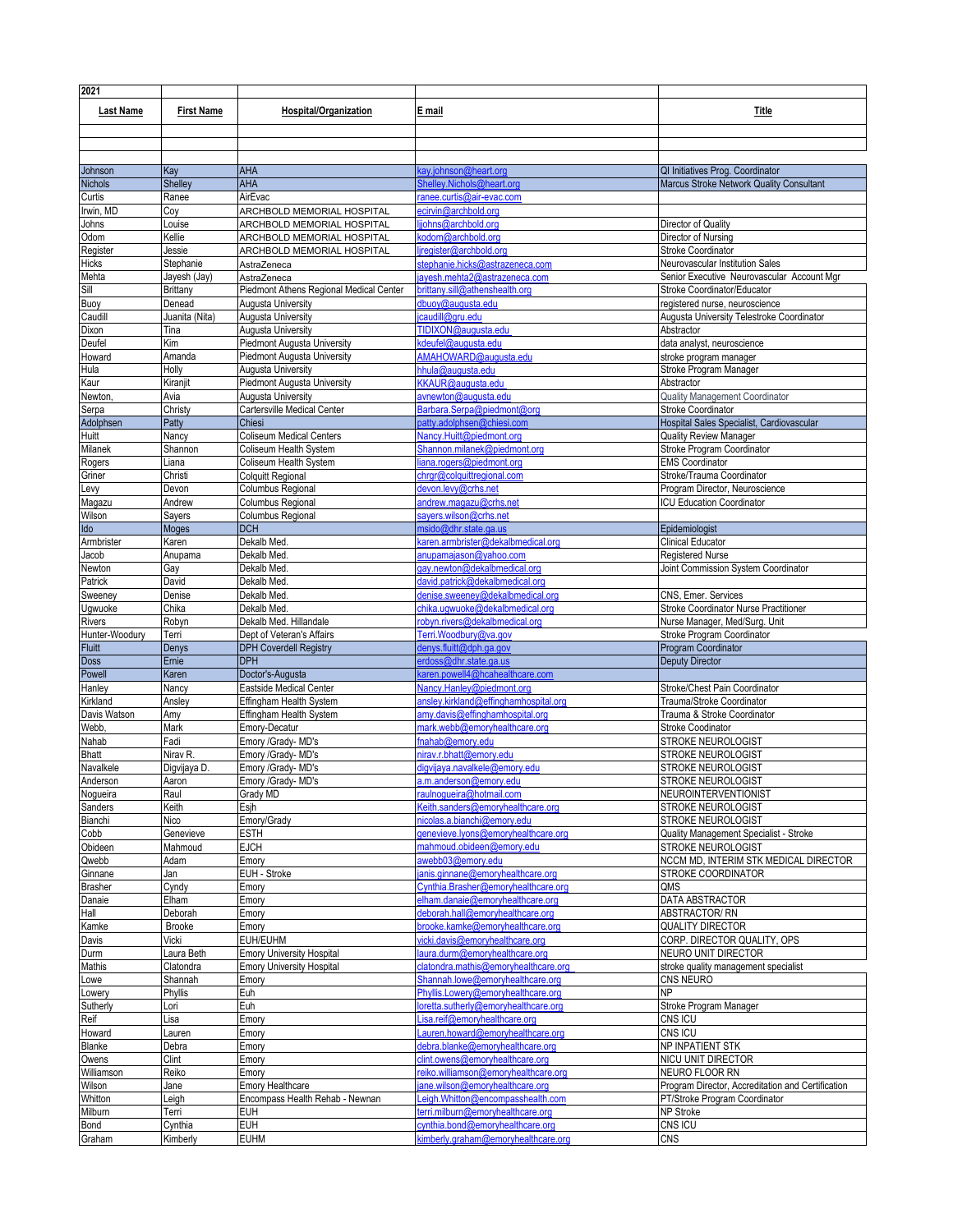| 2021              |                          |                                                     |                                                                     |                                                                             |
|-------------------|--------------------------|-----------------------------------------------------|---------------------------------------------------------------------|-----------------------------------------------------------------------------|
| <b>Last Name</b>  | <b>First Name</b>        | <b>Hospital/Organization</b>                        | E mail                                                              | Title                                                                       |
|                   |                          |                                                     |                                                                     |                                                                             |
|                   |                          |                                                     |                                                                     |                                                                             |
|                   |                          |                                                     |                                                                     |                                                                             |
| Johnson           | Kay                      | AHA                                                 | cay.johnson@heart.org                                               | QI Initiatives Prog. Coordinator                                            |
| <b>Nichols</b>    | <b>Shelley</b>           | AHA                                                 | Shelley.Nichols@heart.org                                           | Marcus Stroke Network Quality Consultant                                    |
| Curtis            | Ranee                    | AirEvac                                             | ranee.curtis@air-evac.com                                           |                                                                             |
| Irwin, MD         | Соу                      | ARCHBOLD MEMORIAL HOSPITAL                          | ecirvin@archbold.org                                                |                                                                             |
| Johns             | Louise                   | ARCHBOLD MEMORIAL HOSPITAL                          | johns@archbold.org                                                  | Director of Quality                                                         |
| Odom              | Kellie                   | ARCHBOLD MEMORIAL HOSPITAL                          | kodom@archbold.org                                                  | Director of Nursing                                                         |
| Register          | Jessie                   | ARCHBOLD MEMORIAL HOSPITAL                          | jregister@archbold.org                                              | <b>Stroke Coordinator</b>                                                   |
| <b>Hicks</b>      | Stephanie                | AstraZeneca                                         | stephanie.hicks@astrazeneca.com                                     | Neurovascular Institution Sales                                             |
| Mehta             | Jayesh (Jay)             | AstraZeneca                                         | jayesh.mehta2@astrazeneca.com                                       | Senior Executive Neurovascular Account Mgr                                  |
| Sill              | Brittany                 | Piedmont Athens Regional Medical Center             | brittany.sill@athenshealth.org<br>dbuoy@auqusta.edu                 | Stroke Coordinator/Educator                                                 |
| Buoy<br>Caudill   | Denead<br>Juanita (Nita) | Augusta University<br>Augusta University            | icaudill@gru.edu                                                    | registered nurse, neuroscience<br>Augusta University Telestroke Coordinator |
| Dixon             | Tina                     | Augusta University                                  | TIDIXON@auqusta.edu                                                 | Abstractor                                                                  |
| Deufel            | Kim                      | Piedmont Augusta University                         | kdeufel@auqusta.edu                                                 | data analyst, neuroscience                                                  |
| Howard            | Amanda                   | <b>Piedmont Augusta University</b>                  | AMAHOWARD@augusta.edu                                               | stroke program manager                                                      |
| Hula              | Holly                    | Augusta University                                  | hhula@auqusta.edu                                                   | Stroke Program Manager                                                      |
| Kaur              | Kiranjit                 | Piedmont Augusta University                         | KKAUR@auqusta.edu                                                   | Abstractor                                                                  |
| Newton,           | Avia                     | Augusta University                                  | avnewton@augusta.edu                                                | Quality Management Coordinator                                              |
| Serpa             | Christy                  | Cartersville Medical Center                         | Barbara.Serpa@piedmont@org                                          | Stroke Coordinator                                                          |
| Adolphsen         | Patty                    | Chiesi                                              | patty.adolphsen@chiesi.com                                          | Hospital Sales Specialist, Cardiovascular                                   |
| Huitt             | Nancy                    | <b>Coliseum Medical Centers</b>                     | Nancy.Huitt@piedmont.org                                            | <b>Quality Review Manager</b>                                               |
| Milanek           | Shannon                  | Coliseum Health System                              | Shannon.milanek@piedmont.org                                        | Stroke Program Coordinator                                                  |
| Rogers            | Liana                    | Coliseum Health System                              | liana.rogers@piedmont.org                                           | <b>EMS Coordinator</b>                                                      |
| Griner            | Christi                  | <b>Colquitt Regional</b><br>Columbus Regional       | chrgr@colquittregional.com<br>devon.levy@crhs.net                   | Stroke/Trauma Coordinator<br>Program Director, Neuroscience                 |
| Levy              | Devon<br>Andrew          | Columbus Regional                                   | andrew.magazu@crhs.net                                              | <b>ICU Education Coordinator</b>                                            |
| Magazu<br>Wilson  | Sayers                   | Columbus Regional                                   | savers.wilson@crhs.net                                              |                                                                             |
| Ido               | Moges                    | <b>DCH</b>                                          | msido@dhr.state.ga.us                                               | Epidemiologist                                                              |
| Armbrister        | Karen                    | Dekalb Med.                                         | karen.armbrister@dekalbmedical.org                                  | <b>Clinical Educator</b>                                                    |
| Jacob             | Anupama                  | Dekalb Med.                                         | anupamajason@yahoo.com                                              | <b>Registered Nurse</b>                                                     |
| Newton            | Gay                      | Dekalb Med                                          | gay.newton@dekalbmedical.org                                        | Joint Commission System Coordinator                                         |
| Patrick           | David                    | Dekalb Med                                          | david.patrick@dekalbmedical.org                                     |                                                                             |
| Sweeney           | Denise                   | Dekalb Med                                          | denise.sweeney@dekalbmedical.org                                    | CNS, Emer. Services                                                         |
| Ugwuoke           | Chika                    | Dekalb Med.                                         | chika.uqwuoke@dekalbmedical.org                                     | Stroke Coordinator Nurse Practitioner                                       |
| Rivers            | Robyn                    | Dekalb Med. Hillandale                              | robyn.rivers@dekalbmedical.org                                      | Nurse Manager, Med/Surg. Unit                                               |
| Hunter-Woodury    | Terri                    | Dept of Veteran's Affairs                           | Terri.Woodbury@va.gov                                               | Stroke Program Coordinator                                                  |
| <b>Fluitt</b>     | Denys                    | <b>DPH Coverdell Registry</b>                       | denys.fluitt@dph.ga.gov                                             | Program Coordinator                                                         |
| Doss              | Ernie                    | <b>DPH</b>                                          | erdoss@dhr.state.ga.us                                              | <b>Deputy Director</b>                                                      |
| Powell<br>Hanley  | Karen<br>Nancy           | Doctor's-Augusta<br>Eastside Medical Center         | karen.powell4@hcahealthcare.com                                     | Stroke/Chest Pain Coordinator                                               |
| Kirkland          | Ansley                   | Effingham Health System                             | Nancy.Hanley@piedmont.org<br>ansley.kirkland@effinghamhospital.org  | Trauma/Stroke Coordinator                                                   |
| Davis Watson      | Amy                      | Effingham Health System                             | amy.davis@effinghamhospital.org                                     | Trauma & Stroke Coordinator                                                 |
| Webb,             | Mark                     | Emory-Decatur                                       | mark.webb@emoryhealthcare.org                                       | Stroke Coodinator                                                           |
| Nahab             | Fadi                     | Emory /Grady- MD's                                  | fnahab@emory.edu                                                    | STROKE NEUROLOGIST                                                          |
| <b>Bhatt</b>      | Nirav R.                 | Emory /Grady- MD's                                  | nirav.r.bhatt@emory.edu                                             | STROKE NEUROLOGIST                                                          |
| Navalkele         | Digvijaya D.             | Emory /Grady- MD's                                  | digvijaya.navalkele@emory.edu                                       | STROKE NEUROLOGIST                                                          |
| Anderson          | Aaron                    | Emory /Grady- MD's                                  | a m anderson Memory edu                                             | STROKE NEUROLOGIST                                                          |
| Nogueira          | Raul                     | Grady MD                                            | raulnoqueira@hotmail.com                                            | NEUROINTERVENTIONIST                                                        |
| Sanders           | Keith                    | Esjh                                                | Keith.sanders@emoryhealthcare.org                                   | STROKE NEUROLOGIST                                                          |
| Bianchi           | Nico                     | Emory/Grady                                         | nicolas.a.bianchi@emory.edu                                         | STROKE NEUROLOGIST                                                          |
| Cobb              | Genevieve                | <b>ESTH</b>                                         | genevieve.lyons@emoryhealthcare.org                                 | Quality Management Specialist - Stroke                                      |
| Obideen           | Mahmoud                  | <b>EJCH</b>                                         | mahmoud.obideen@emory.edu                                           | STROKE NEUROLOGIST                                                          |
| Qwebb<br>Ginnane  | Adam<br>Jan              | Emory<br>EUH - Stroke                               | awebb03@emory.edu<br>janis.ginnane@emoryhealthcare.org              | NCCM MD, INTERIM STK MEDICAL DIRECTOR<br><b>STROKE COORDINATOR</b>          |
| <b>Brasher</b>    | Cyndy                    | Emory                                               | Cynthia.Brasher@emoryhealthcare.org                                 | QMS                                                                         |
| Danaie            | Elham                    | Emory                                               | elham.danaie@emoryhealthcare.org                                    | DATA ABSTRACTOR                                                             |
| Hall              | Deborah                  | Emory                                               | deborah.hall@emoryhealthcare.org                                    | ABSTRACTOR/RN                                                               |
| Kamke             | <b>Brooke</b>            | Emory                                               | brooke.kamke@emoryhealthcare.org                                    | <b>QUALITY DIRECTOR</b>                                                     |
| Davis             | Vicki                    | EUH/EUHM                                            | vicki.davis@emoryhealthcare.org                                     | CORP. DIRECTOR QUALITY, OPS                                                 |
| Durm              | Laura Beth               | <b>Emory University Hospital</b>                    | aura.durm@emoryhealthcare.org                                       | NEURO UNIT DIRECTOR                                                         |
| Mathis            | Clatondra                | <b>Emory University Hospital</b>                    | clatondra.mathis@emoryhealthcare.org                                | stroke quality management specialist                                        |
| Lowe              | Shannah                  | Emory                                               | Shannah.lowe@emoryhealthcare.org                                    | CNS NEURO                                                                   |
| Lowery            | Phyllis                  | Euh                                                 | Phyllis.Lowery@emoryhealthcare.org                                  | N <sub>P</sub>                                                              |
| Sutherly          | Lori                     | Euh                                                 | loretta.sutherly@emoryhealthcare.org                                | Stroke Program Manager                                                      |
| Reif              | Lisa                     | Emory                                               | Lisa.reif@emoryhealthcare.org                                       | CNS ICU                                                                     |
| Howard            | Lauren                   | Emory                                               | Lauren.howard@emoryhealthcare.org                                   | CNS ICU                                                                     |
| <b>Blanke</b>     | Debra                    | Emory                                               | debra.blanke@emoryhealthcare.org                                    | NP INPATIENT STK                                                            |
| Owens             | Clint                    | Emory                                               | clint.owens@emoryhealthcare.org                                     | NICU UNIT DIRECTOR                                                          |
| Williamson        | Reiko                    | Emory                                               | reiko.williamson@emoryhealthcare.org                                | NEURO FLOOR RN<br>Program Director, Accreditation and Certification         |
| Wilson<br>Whitton | Jane                     | Emory Healthcare<br>Encompass Health Rehab - Newnan | ane.wilson@emoryhealthcare.org<br>Leigh.Whitton@encompasshealth.com | PT/Stroke Program Coordinator                                               |
| Milburn           | Leigh<br>Terri           | EUH                                                 | terri.milburn@emoryhealthcare.org                                   | NP Stroke                                                                   |
| Bond              | Cynthia                  | <b>EUH</b>                                          | cynthia.bond@emoryhealthcare.org                                    | CNS ICU                                                                     |
| Graham            | Kimberly                 | <b>EUHM</b>                                         | kimberly.graham@emoryhealthcare.org                                 | <b>CNS</b>                                                                  |
|                   |                          |                                                     |                                                                     |                                                                             |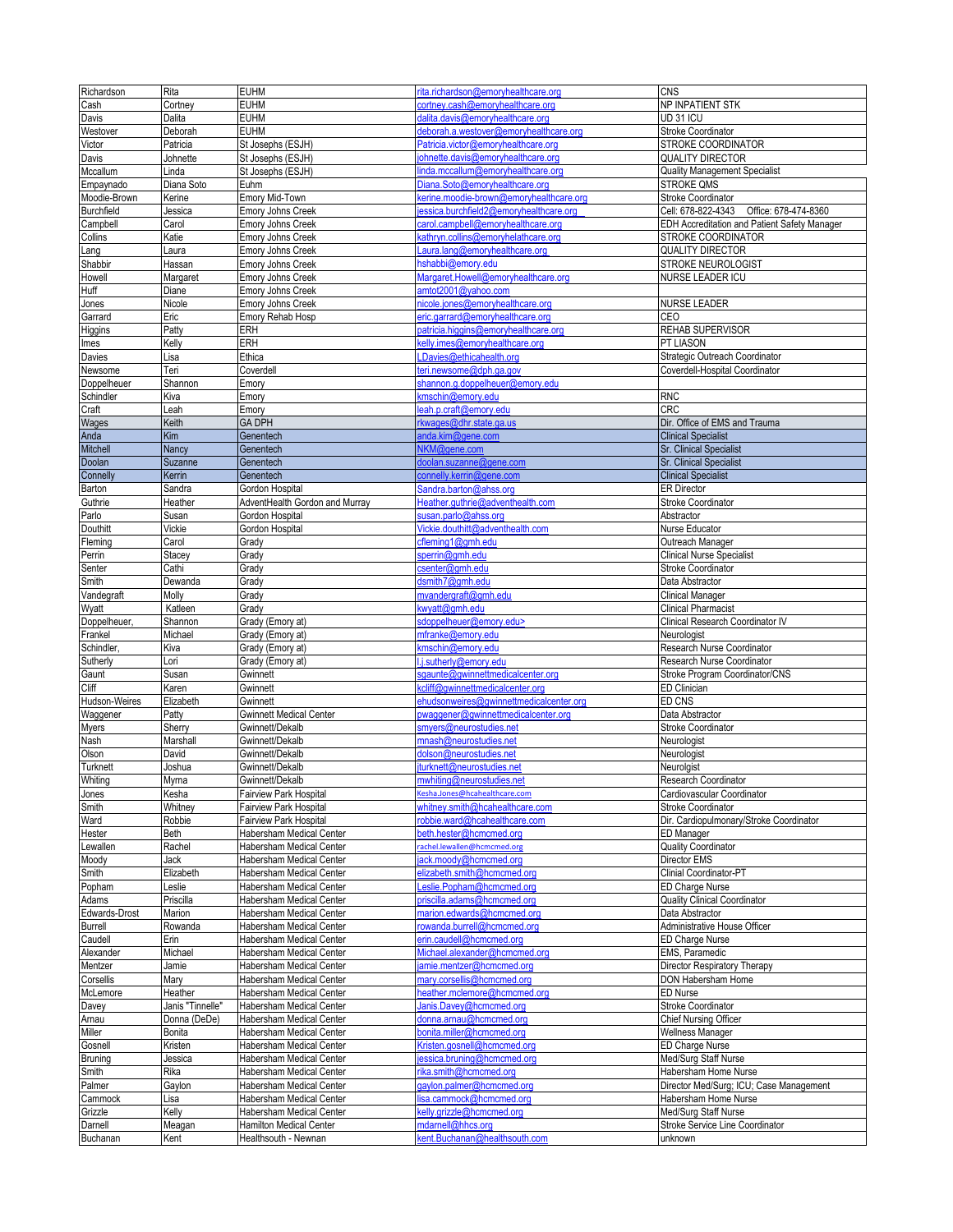| Richardson          | Rita             | <b>EUHM</b>                                     | rita.richardson@emorvhealthcare.org                | <b>CNS</b>                                   |
|---------------------|------------------|-------------------------------------------------|----------------------------------------------------|----------------------------------------------|
| Cash                | Cortney          | <b>EUHM</b>                                     | cortney.cash@emoryhealthcare.org                   | NP INPATIENT STK                             |
| Davis               | Dalita           | <b>EUHM</b>                                     | dalita.davis@emoryhealthcare.org                   | UD 31 ICU                                    |
|                     |                  | <b>EUHM</b>                                     |                                                    |                                              |
| Westover            | Deborah          |                                                 | deborah.a.westover@emoryhealthcare.org             | Stroke Coordinator                           |
| Victor              | Patricia         | St Josephs (ESJH)                               | Patricia.victor@emoryhealthcare.org                | STROKE COORDINATOR                           |
| Davis               | Johnette         | St Josephs (ESJH)                               | ohnette.davis@emoryhealthcare.org                  | <b>QUALITY DIRECTOR</b>                      |
| Mccallum            | Linda            | St Josephs (ESJH)                               | inda.mccallum@emoryhealthcare.org                  | <b>Quality Management Specialist</b>         |
| Empaynado           | Diana Soto       | Euhm                                            | Diana.Soto@emoryhealthcare.org                     | <b>STROKE QMS</b>                            |
| Moodie-Brown        | Kerine           | Emory Mid-Town                                  | kerine.moodie-brown@emoryhealthcare.org            | <b>Stroke Coordinator</b>                    |
| <b>Burchfield</b>   | Jessica          | <b>Emory Johns Creek</b>                        | essica.burchfield2@emoryhealthcare.org             | Cell: 678-822-4343 Office: 678-474-8360      |
| Campbell            | Carol            | <b>Emory Johns Creek</b>                        | carol.campbell@emoryhealthcare.org                 | EDH Accreditation and Patient Safety Manager |
| Collins             | Katie            | <b>Emory Johns Creek</b>                        | kathryn.collins@emoryhelathcare.org                | STROKE COORDINATOR                           |
| Lang                | Laura            | <b>Emory Johns Creek</b>                        | aura.lang@emoryhealthcare.org                      | <b>QUALITY DIRECTOR</b>                      |
| Shabbir             | Hassan           | <b>Emory Johns Creek</b>                        | hshabbi@emory.edu                                  | STROKE NEUROLOGIST                           |
| Howell              | Margaret         | <b>Emory Johns Creek</b>                        | Margaret.Howell@emoryhealthcare.org                | NURSE LEADER ICU                             |
| Huff                | Diane            | <b>Emory Johns Creek</b>                        | amtot2001@yahoo.com                                |                                              |
| Jones               | Nicole           | <b>Emory Johns Creek</b>                        | nicole.jones@emoryhealthcare.org                   | <b>NURSE LEADER</b>                          |
| Garrard             | Eric             | Emory Rehab Hosp                                | eric.garrard@emoryhealthcare.org                   | CEO                                          |
| Higgins             | Patty            | ERH                                             | patricia.higgins@emoryhealthcare.org               | REHAB SUPERVISOR                             |
| lmes                | Kelly            | ERH                                             | kelly.imes@emoryhealthcare.org                     | PT LIASON                                    |
|                     | Lisa             | Ethica                                          | LDavies@ethicahealth.org                           | Strategic Outreach Coordinator               |
| Davies              | Teri             |                                                 |                                                    | Coverdell-Hospital Coordinator               |
| Newsome             |                  | Coverdell                                       | teri.newsome@dph.ga.gov                            |                                              |
| Doppelheuer         | Shannon          | Emory                                           | shannon.g.doppelheuer@emory.edu                    |                                              |
| Schindler           | Kiva             | Emory                                           | kmschin@emory.edu                                  | <b>RNC</b>                                   |
| Craft               | Leah             | Emory                                           | leah.p.craft@emory.edu                             | <b>CRC</b>                                   |
| Wages               | Keith            | <b>GA DPH</b>                                   | rkwages@dhr.state.ga.us                            | Dir. Office of EMS and Trauma                |
| Anda                | Kim              | Genentech                                       | anda.kim@gene.com                                  | <b>Clinical Specialist</b>                   |
| Mitchell            | Nancy            | Genentech                                       | NKM@gene.com                                       | <b>Sr. Clinical Specialist</b>               |
| Doolan              | Suzanne          | Genentech                                       | doolan.suzanne@gene.com                            | <b>Sr. Clinical Specialist</b>               |
| Connelly            | Kerrin           | Genentech                                       | connelly.kerrin@gene.com                           | <b>Clinical Specialist</b>                   |
| Barton              | Sandra           | Gordon Hospital                                 | Sandra.barton@ahss.org                             | <b>ER Director</b>                           |
| Guthrie             | Heather          | AdventHealth Gordon and Murray                  | Heather.quthrie@adventhealth.com                   | Stroke Coordinator                           |
| Parlo               | Susan            | Gordon Hospital                                 | susan.parlo@ahss.org                               | Abstractor                                   |
| Douthitt            | Vickie           | Gordon Hospital                                 | Vickie.douthitt@adventhealth.com                   | Nurse Educator                               |
| Fleming             | Carol            | Grady                                           | cfleming1@gmh.edu                                  | Outreach Manager                             |
| Perrin              | Stacey           | Grady                                           | sperrin@gmh.edu                                    | <b>Clinical Nurse Specialist</b>             |
|                     | Cathi            | Grady                                           | csenter@gmh.edu                                    | <b>Stroke Coordinator</b>                    |
| Senter              | Dewanda          |                                                 | dsmith7@gmh.edu                                    |                                              |
| Smith               |                  | Grady                                           |                                                    | Data Abstractor                              |
| Vandegraft          | Molly            | Grady                                           | mvandergraft@gmh.edu                               | Clinical Manager                             |
| Wyatt               | Katleen          | Grady                                           | kwyatt@gmh.edu                                     | <b>Clinical Pharmacist</b>                   |
|                     |                  |                                                 |                                                    |                                              |
| Doppelheuer,        | Shannon          | Grady (Emory at)                                | sdoppelheuer@emory.edu>                            | Clinical Research Coordinator IV             |
| Frankel             | Michael          | Grady (Emory at)                                | mfranke@emory.edu                                  | Neurologist                                  |
| Schindler,          | Kiva             | Grady (Emory at)                                | kmschin@emory.edu                                  | Research Nurse Coordinator                   |
| Sutherly            | Lori             | Grady (Emory at)                                | .j.sutherly@emory.edu                              | Research Nurse Coordinator                   |
| Gaunt               | Susan            | Gwinnett                                        | sgaunte@gwinnettmedicalcenter.org                  | Stroke Program Coordinator/CNS               |
| Cliff               | Karen            | Gwinnett                                        | kcliff@qwinnettmedicalcenter.org                   | <b>ED Clinician</b>                          |
| Hudson-Weires       | Elizabeth        | Gwinnett                                        | ehudsonweires@gwinnettmedicalcenter.org            | ED CNS                                       |
| Waggener            | Patty            | <b>Gwinnett Medical Center</b>                  |                                                    |                                              |
|                     |                  |                                                 | pwaggener@gwinnettmedicalcenter.org                | Data Abstractor                              |
| Myers               | Sherry           | Gwinnett/Dekalb                                 | smyers@neurostudies.net                            | <b>Stroke Coordinator</b>                    |
| Nash                | Marshall         | Gwinnett/Dekalb                                 | mnash@neurostudies.net                             | Neurologist                                  |
| Olson               | David            | Gwinnett/Dekalb                                 | dolson@neurostudies.net                            | Neurologist                                  |
| Turknett            | Joshua           | Gwinnett/Dekalb                                 | turknett@neurostudies.net                          | Neurolgist                                   |
| Whiting             | Myrna            | Gwinnett/Dekalb                                 | mwhiting@neurostudies.net                          | Research Coordinator                         |
| Jones               | Kesha            | <b>Fairview Park Hospital</b>                   | <br>sha.Jones@hcahealthcare.com                    | Cardiovascular Coordinator                   |
| Smith               | Whitney          | <b>Fairview Park Hospital</b>                   | whitney.smith@hcahealthcare.com                    | <b>Stroke Coordinator</b>                    |
| Ward                | Robbie           | Fairview Park Hospital                          | robbie.ward@hcahealthcare.com                      | Dir. Cardiopulmonary/Stroke Coordinator      |
| Hester              | Beth             | Habersham Medical Center                        | beth.hester@hcmcmed.org                            | ED Manager                                   |
| Lewallen            | Rachel           | Habersham Medical Center                        | achel.lewallen@hcmcmed.org                         | <b>Quality Coordinator</b>                   |
| Moody               | Jack             | Habersham Medical Center                        | ack.moody@hcmcmed.org                              | <b>Director EMS</b>                          |
| Smith               | Elizabeth        | Habersham Medical Center                        | elizabeth.smith@hcmcmed.org                        | Clinial Coordinator-PT                       |
| Popham              | Leslie           | Habersham Medical Center                        | eslie.Popham@hcmcmed.org                           | ED Charge Nurse                              |
| Adams               | Priscilla        | Habersham Medical Center                        | priscilla.adams@hcmcmed.org                        | <b>Quality Clinical Coordinator</b>          |
| Edwards-Drost       | Marion           | Habersham Medical Center                        | marion.edwards@hcmcmed.org                         | Data Abstractor                              |
| Burrell             | Rowanda          | Habersham Medical Center                        | rowanda.burrell@hcmcmed.org                        | Administrative House Officer                 |
| Caudell             | Erin             | Habersham Medical Center                        | erin.caudell@hcmcmed.org                           | ED Charge Nurse                              |
| Alexander           | Michael          | Habersham Medical Center                        | Michael.alexander@hcmcmed.org                      | EMS, Paramedic                               |
| Mentzer             | Jamie            | Habersham Medical Center                        | amie.mentzer@hcmcmed.org                           | Director Respiratory Therapy                 |
| Corsellis           | Mary             | Habersham Medical Center                        | mary.corsellis@hcmcmed.org                         | DON Habersham Home                           |
| McLemore            | Heather          | Habersham Medical Center                        | neather.mclemore@hcmcmed.org                       | <b>ED Nurse</b>                              |
|                     |                  |                                                 |                                                    |                                              |
| Davey               | Janis "Tinnelle" | Habersham Medical Center                        | Janis.Davey@hcmcmed.org                            | Stroke Coordinator                           |
| Arnau               | Donna (DeDe)     | Habersham Medical Center                        | donna.arnau@hcmcmed.org                            | <b>Chief Nursing Officer</b>                 |
| Miller              | Bonita           | Habersham Medical Center                        | bonita.miller@hcmcmed.org                          | Wellness Manager                             |
| Gosnell             | Kristen          | Habersham Medical Center                        | Kristen.gosnell@hcmcmed.org                        | ED Charge Nurse                              |
| <b>Bruning</b>      | Jessica          | Habersham Medical Center                        | iessica.bruning@hcmcmed.org                        | Med/Surg Staff Nurse                         |
| Smith               | Rika             | Habersham Medical Center                        | rika.smith@hcmcmed.org                             | Habersham Home Nurse                         |
| Palmer              | Gaylon           | Habersham Medical Center                        | qaylon.palmer@hcmcmed.org                          | Director Med/Surg; ICU; Case Management      |
| Cammock             | Lisa             | Habersham Medical Center                        | isa.cammock@hcmcmed.org                            | Habersham Home Nurse                         |
| Grizzle             | Kelly            | Habersham Medical Center                        | kelly.grizzle@hcmcmed.org                          | Med/Surg Staff Nurse                         |
| Darnell<br>Buchanan | Meagan<br>Kent   | Hamilton Medical Center<br>Healthsouth - Newnan | mdarnell@hhcs.org<br>kent.Buchanan@healthsouth.com | Stroke Service Line Coordinator<br>unknown   |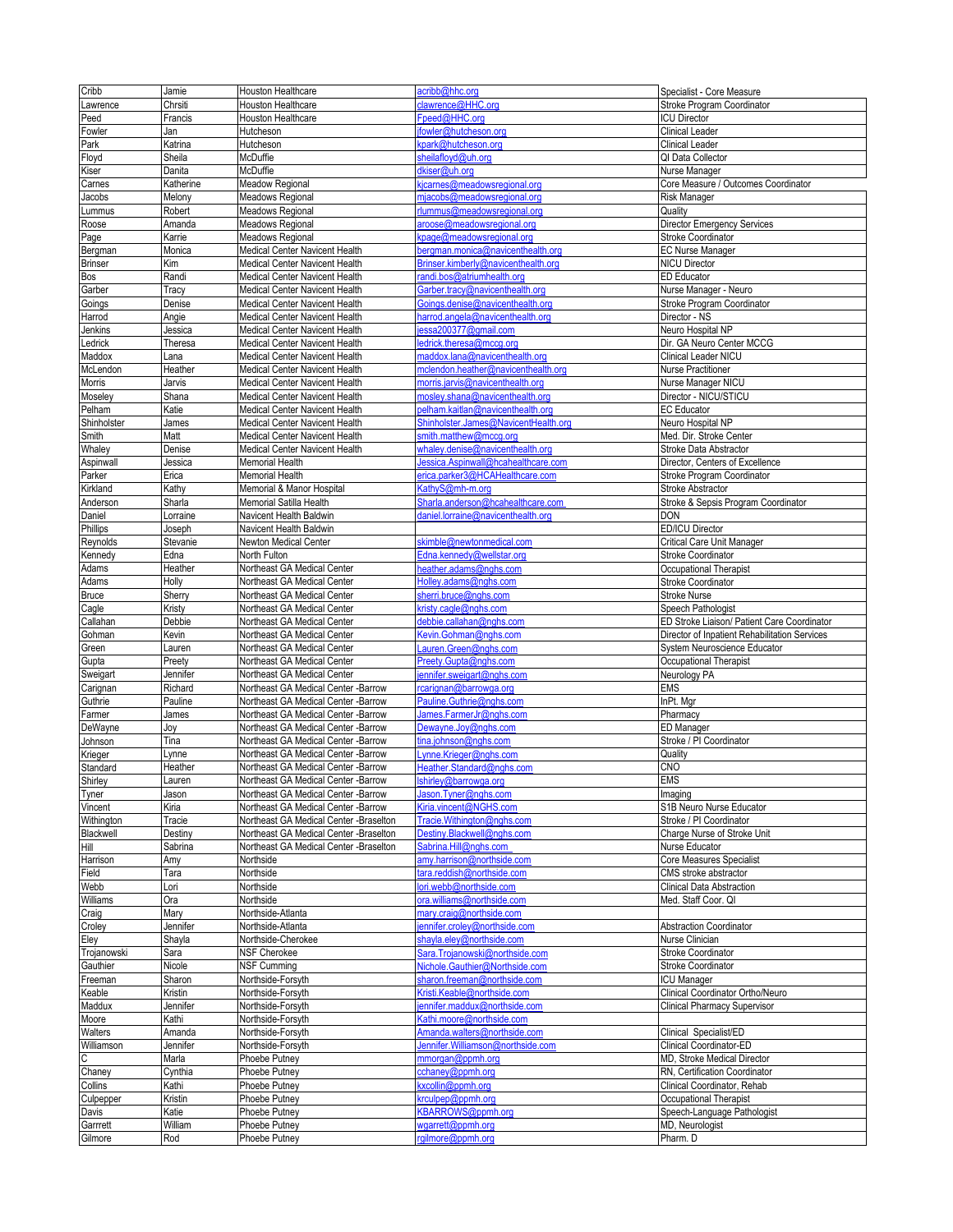| Cribb                   | Jamie              | Houston Healthcare                                                           | acribb@hhc.org                                                                   | Specialist - Core Measure                         |
|-------------------------|--------------------|------------------------------------------------------------------------------|----------------------------------------------------------------------------------|---------------------------------------------------|
| Lawrence                | Chrsiti            | <b>Houston Healthcare</b>                                                    | clawrence@HHC.org                                                                | Stroke Program Coordinator                        |
| Peed                    | Francis            | Houston Healthcare                                                           | Fpeed@HHC.ora                                                                    | <b>ICU Director</b>                               |
| Fowler                  | Jan                | Hutcheson                                                                    | fowler@hutcheson.org                                                             | <b>Clinical Leader</b>                            |
| Park                    | Katrina            | Hutcheson                                                                    | <park@hutcheson.org< td=""><td><b>Clinical Leader</b></td></park@hutcheson.org<> | <b>Clinical Leader</b>                            |
| Floyd                   | Sheila             | McDuffie                                                                     | sheilafloyd@uh.org                                                               | QI Data Collector                                 |
| Kiser                   | Danita             | McDuffie                                                                     | dkiser@uh.org                                                                    | Nurse Manager                                     |
| Carnes                  | Katherine          | Meadow Regional                                                              | sicarnes@meadowsregional.org                                                     | Core Measure / Outcomes Coordinator               |
| Jacobs<br>Lummus        | Melony             | Meadows Regional                                                             | mjacobs@meadowsregional.org<br>rlummus@meadowsregional.org                       | <b>Risk Manager</b><br>Quality                    |
|                         | Robert<br>Amanda   | Meadows Regional<br>Meadows Regional                                         | aroose@meadowsregional.org                                                       | <b>Director Emergency Services</b>                |
| Roose<br>Page           | Karrie             | Meadows Regional                                                             | spage@meadowsregional.org                                                        | Stroke Coordinator                                |
| Bergman                 | Monica             | Medical Center Navicent Health                                               | pergman.monica@navicenthealth.org                                                | <b>EC Nurse Manager</b>                           |
| <b>Brinser</b>          | Kim                | Medical Center Navicent Health                                               | Brinser.kimberly@navicenthealth.org                                              | <b>NICU Director</b>                              |
| Bos                     | Randi              | Medical Center Navicent Health                                               | randi.bos@atriumhealth.org                                                       | <b>ED Educator</b>                                |
| Garber                  | Tracy              | Medical Center Navicent Health                                               | Garber.tracy@navicenthealth.org                                                  | Nurse Manager - Neuro                             |
| Goings                  | Denise             | Medical Center Navicent Health                                               | Goings.denise@navicenthealth.org                                                 | Stroke Program Coordinator                        |
| Harrod                  | Angie              | Medical Center Navicent Health                                               | narrod.angela@navicenthealth.org                                                 | Director - NS                                     |
| Jenkins                 | Jessica            | <b>Medical Center Navicent Health</b>                                        | essa200377@gmail.com                                                             | Neuro Hospital NP                                 |
| _edrick                 | Theresa            | Medical Center Navicent Health                                               | ledrick.theresa@mccg.org                                                         | Dir. GA Neuro Center MCCG                         |
| Maddox                  | Lana               | <b>Medical Center Navicent Health</b>                                        | maddox.lana@navicenthealth.org                                                   | Clinical Leader NICU                              |
| McLendon                | Heather            | Medical Center Navicent Health                                               | mclendon.heather@navicenthealth.org                                              | Nurse Practitioner                                |
| Morris                  | Jarvis             | Medical Center Navicent Health                                               | morris.jarvis@navicenthealth.org                                                 | Nurse Manager NICU                                |
| Moseley                 | Shana              | Medical Center Navicent Health                                               | mosley.shana@navicenthealth.org                                                  | Director - NICU/STICU                             |
| Pelham                  | Katie              | <b>Medical Center Navicent Health</b>                                        | belham.kaitlan@navicenthealth.org                                                | <b>EC Educator</b>                                |
| Shinholster             | James              | Medical Center Navicent Health                                               | Shinholster.James@NavicentHealth.org                                             | Neuro Hospital NP                                 |
| Smith<br>Whaley         | Matt<br>Denise     | Medical Center Navicent Health<br><b>Medical Center Navicent Health</b>      | smith.matthew@mccg.org<br>whaley.denise@navicenthealth.org                       | Med. Dir. Stroke Center<br>Stroke Data Abstractor |
| Aspinwall               | Jessica            | <b>Memorial Health</b>                                                       | Jessica.Aspinwall@hcahealthcare.com                                              | Director, Centers of Excellence                   |
| Parker                  | Erica              | Memorial Health                                                              | erica.parker3@HCAHealthcare.com                                                  | Stroke Program Coordinator                        |
| Kirkland                | Kathy              | Memorial & Manor Hospital                                                    | KathyS@mh-m.org                                                                  | Stroke Abstractor                                 |
| Anderson                | Sharla             | Memorial Satilla Health                                                      | Sharla.anderson@hcahealthcare.com                                                | Stroke & Sepsis Program Coordinator               |
| Daniel                  | Lorraine           | Navicent Health Baldwin                                                      | daniel.lorraine@navicenthealth.org                                               | <b>DON</b>                                        |
| Phillips                | Joseph             | Navicent Health Baldwin                                                      |                                                                                  | ED/ICU Director                                   |
| Reynolds                | Stevanie           | Newton Medical Center                                                        | skimble@newtonmedical.com                                                        | Critical Care Unit Manager                        |
| Kennedy                 | Edna               | North Fulton                                                                 | Edna.kennedy@wellstar.org                                                        | Stroke Coordinator                                |
| Adams                   | Heather            | Northeast GA Medical Center                                                  | neather.adams@nghs.com                                                           | Occupational Therapist                            |
| Adams                   | Holly              | Northeast GA Medical Center                                                  | Holley.adams@nghs.com                                                            | Stroke Coordinator                                |
| <b>Bruce</b>            | Sherry             | Northeast GA Medical Center                                                  | sherri.bruce@nghs.com                                                            | <b>Stroke Nurse</b>                               |
| Cagle                   | Kristy             | Northeast GA Medical Center                                                  | cristy.cagle@nghs.com                                                            | Speech Pathologist                                |
| Callahan                | Debbie             | Northeast GA Medical Center                                                  | debbie.callahan@nghs.com                                                         | ED Stroke Liaison/ Patient Care Coordinator       |
| Gohman                  | Kevin              | Northeast GA Medical Center                                                  | Kevin.Gohman@nghs.com                                                            | Director of Inpatient Rehabilitation Services     |
| Green                   | Lauren             | Northeast GA Medical Center                                                  | Lauren.Green@nghs.com                                                            | System Neuroscience Educator                      |
| Gupta                   | Preety             | Northeast GA Medical Center                                                  | Preety.Gupta@nghs.com                                                            | Occupational Therapist                            |
| Sweigart                | Jennifer           | Northeast GA Medical Center<br>Northeast GA Medical Center -Barrow           | ennifer.sweigart@nghs.com                                                        | Neurology PA<br><b>EMS</b>                        |
| Carignan<br>Guthrie     | Richard<br>Pauline | Northeast GA Medical Center -Barrow                                          | rcarignan@barrowga.org<br>Pauline.Guthrie@nghs.com                               | InPt. Mgr                                         |
| Farmer                  | James              | Northeast GA Medical Center - Barrow                                         | James.FarmerJr@nghs.com                                                          | Pharmacy                                          |
| DeWayne                 | Joy                | Northeast GA Medical Center -Barrow                                          | Dewayne.Joy@nghs.com                                                             | ED Manager                                        |
| Johnson                 | Tina               | Northeast GA Medical Center -Barrow                                          |                                                                                  |                                                   |
| Krieger                 |                    |                                                                              |                                                                                  |                                                   |
| Standard                |                    |                                                                              | tina.johnson@nghs.com                                                            | Stroke / PI Coordinator                           |
|                         | Lynne<br>Heather   | Northeast GA Medical Center -Barrow                                          | Lynne.Krieger@nghs.com                                                           | Quality<br>CNO                                    |
|                         | Lauren             | Northeast GA Medical Center - Barrow<br>Northeast GA Medical Center - Barrow | Heather.Standard@nghs.com<br>hirley@harrowga org                                 | <b>EMS</b>                                        |
| Shirley                 | Jason              | Northeast GA Medical Center -Barrow                                          | Jason.Tyner@nghs.com                                                             | Imaging                                           |
| Tyner<br>Vincent        | Kiria              | Northeast GA Medical Center -Barrow                                          | Kiria.vincent@NGHS.com                                                           | S1B Neuro Nurse Educator                          |
| Withington              | Tracie             | Northeast GA Medical Center -Braselton                                       | Tracie. Withington@nghs.com                                                      | Stroke / PI Coordinator                           |
| Blackwell               | Destiny            | Northeast GA Medical Center -Braselton                                       | Destiny.Blackwell@nghs.com                                                       | Charge Nurse of Stroke Unit                       |
| Hill                    | Sabrina            | Northeast GA Medical Center -Braselton                                       | Sabrina.Hill@nghs.com                                                            | Nurse Educator                                    |
| Harrison                | Amy                | Northside                                                                    | amy.harrison@northside.com                                                       | Core Measures Specialist                          |
| Field                   | Tara               | Northside                                                                    | tara.reddish@northside.com                                                       | CMS stroke abstractor                             |
| Webb                    | Lori               | Northside                                                                    | lori.webb@northside.com                                                          | <b>Clinical Data Abstraction</b>                  |
| Williams                | Ora                | Northside                                                                    | ora.williams@northside.com                                                       | Med. Staff Coor. QI                               |
| Craig                   | Mary               | Northside-Atlanta                                                            | mary.craig@northside.com                                                         |                                                   |
| Croley                  | Jennifer           | Northside-Atlanta                                                            | jennifer.croley@northside.com                                                    | <b>Abstraction Coordinator</b>                    |
| Eley                    | Shayla             | Northside-Cherokee                                                           | shayla.eley@northside.com                                                        | Nurse Clinician                                   |
| Trojanowski<br>Gauthier | Sara               | <b>NSF Cherokee</b><br><b>NSF Cumming</b>                                    | Sara.Trojanowski@northside.com<br>Nichole.Gauthier@Northside.com                 | Stroke Coordinator                                |
|                         | Nicole<br>Sharon   |                                                                              | sharon.freeman@northside.com                                                     | Stroke Coordinator<br><b>ICU Manager</b>          |
| Freeman<br>Keable       | Kristin            | Northside-Forsyth<br>Northside-Forsyth                                       | Kristi.Keable@northside.com                                                      | Clinical Coordinator Ortho/Neuro                  |
| Maddux                  | Jennifer           | Northside-Forsyth                                                            | iennifer.maddux@northside.com                                                    | <b>Clinical Pharmacy Supervisor</b>               |
| Moore                   | Kathi              | Northside-Forsyth                                                            | Kathi.moore@northside.com                                                        |                                                   |
| Walters                 | Amanda             | Northside-Forsyth                                                            | Amanda.walters@northside.com                                                     | Clinical Specialist/ED                            |
| Williamson              | Jennifer           | Northside-Forsyth                                                            | Jennifer. Williamson@northside.com                                               | Clinical Coordinator-ED                           |
| С                       | Marla              | Phoebe Putney                                                                | mmorgan@ppmh.org                                                                 | MD, Stroke Medical Director                       |
| Chaney                  | Cynthia            | Phoebe Putney                                                                | cchaney@ppmh.org                                                                 | RN, Certification Coordinator                     |
| Collins                 | Kathi              | Phoebe Putney                                                                | kxcollin@ppmh.org                                                                | Clinical Coordinator, Rehab                       |
| Culpepper               | Kristin            | Phoebe Putney                                                                | krculpep@ppmh.org                                                                | Occupational Therapist                            |
| Davis                   | Katie              | Phoebe Putney                                                                | <b>KBARROWS@ppmh.org</b>                                                         | Speech-Language Pathologist                       |
| Garrrett<br>Gilmore     | William<br>Rod     | Phoebe Putney<br>Phoebe Putney                                               | wgarrett@ppmh.org<br>rgilmore@ppmh.org                                           | MD, Neurologist<br>Pharm. D                       |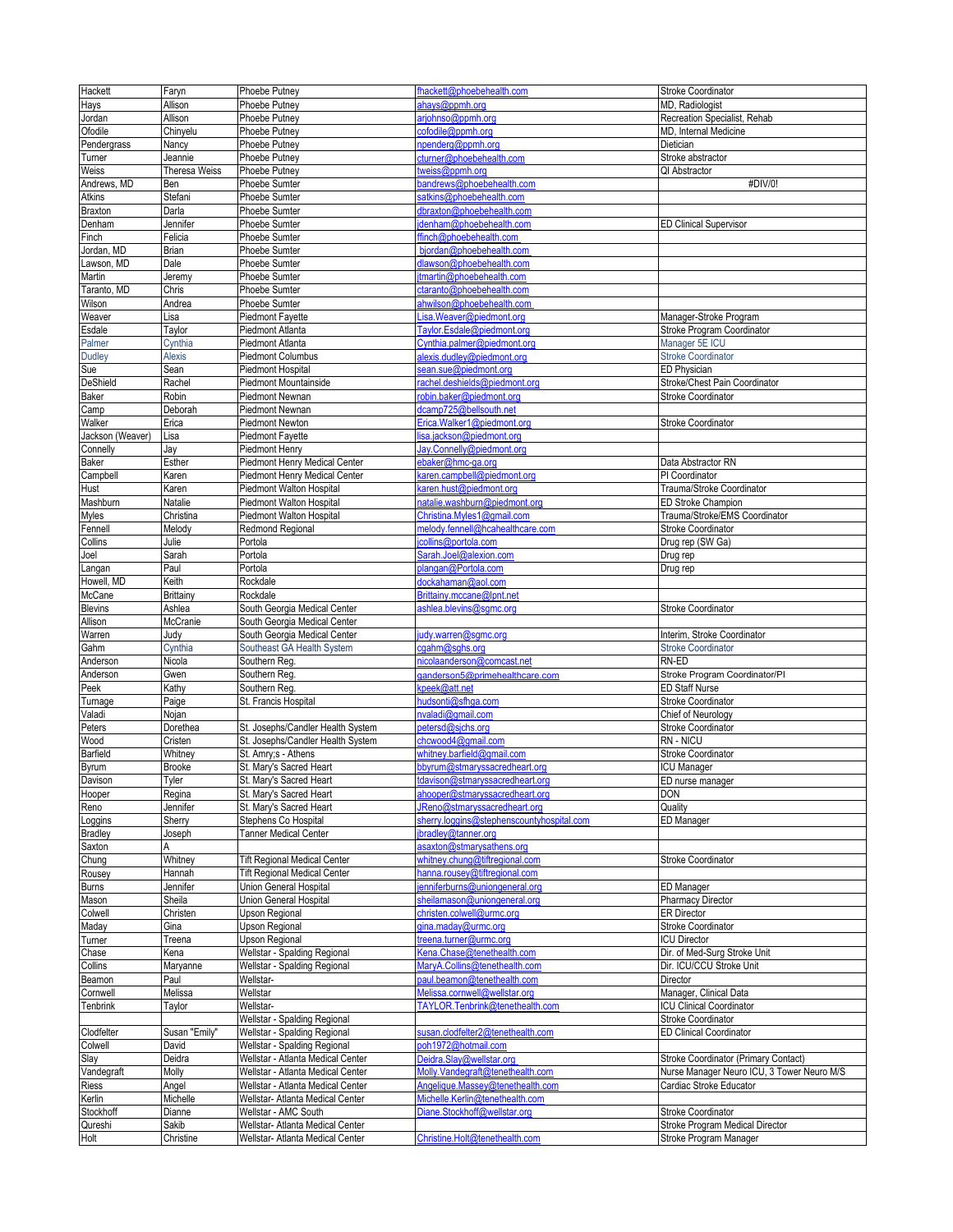| Hackett          | Faryn         | Phoebe Putney                       | fhackett@phoebehealth.com                 | Stroke Coordinator                         |
|------------------|---------------|-------------------------------------|-------------------------------------------|--------------------------------------------|
| Hays             | Allison       | Phoebe Putney                       | ahays@ppmh.org                            | MD, Radiologist                            |
| Jordan           | Allison       | Phoebe Putney                       | arjohnso@ppmh.org                         | Recreation Specialist, Rehab               |
| Ofodile          | Chinyelu      | Phoebe Putney                       | cofodile@ppmh.org                         | MD, Internal Medicine                      |
|                  |               |                                     |                                           |                                            |
| Pendergrass      | Nancy         | Phoebe Putney                       | npenderg@ppmh.org                         | Dietician                                  |
| Turner           | Jeannie       | Phoebe Putney                       | cturner@phoebehealth.com                  | Stroke abstractor                          |
| Weiss            | Theresa Weiss | Phoebe Putney                       | tweiss@ppmh.org                           | QI Abstractor                              |
| Andrews, MD      | Ben           | Phoebe Sumter                       | bandrews@phoebehealth.com                 | #DIV/0!                                    |
| Atkins           | Stefani       | Phoebe Sumter                       | satkins@phoebehealth.com                  |                                            |
| <b>Braxton</b>   | Darla         | Phoebe Sumter                       | dbraxton@phoebehealth.com                 |                                            |
| Denham           | Jennifer      | Phoebe Sumter                       | denham@phoebehealth.com                   | <b>ED Clinical Supervisor</b>              |
| Finch            | Felicia       | Phoebe Sumter                       | ffinch@phoebehealth.com                   |                                            |
| Jordan, MD       | Brian         | Phoebe Sumter                       | bjordan@phoebehealth.com                  |                                            |
| Lawson, MD       | Dale          | Phoebe Sumter                       | dlawson@phoebehealth.com                  |                                            |
| Martin           | Jeremy        | Phoebe Sumter                       | tmartin@phoebehealth.com                  |                                            |
| Taranto, MD      | Chris         | Phoebe Sumter                       | ctaranto@phoebehealth.com                 |                                            |
| Wilson           | Andrea        | Phoebe Sumter                       | ahwilson@phoebehealth.com                 |                                            |
| Weaver           | Lisa          | <b>Piedmont Fayette</b>             | Lisa.Weaver@piedmont.org                  | Manager-Stroke Program                     |
| Esdale           | Taylor        | Piedmont Atlanta                    | Taylor.Esdale@piedmont.org                | Stroke Program Coordinator                 |
| Palmer           | Cynthia       | Piedmont Atlanta                    | Cynthia.palmer@piedmont.org               | Manager 5E ICU                             |
| <b>Dudley</b>    | <b>Alexis</b> | <b>Piedmont Columbus</b>            | alexis.dudley@piedmont.org                | <b>Stroke Coordinator</b>                  |
| Sue              | Sean          | Piedmont Hospital                   | sean.sue@piedmont.org                     | ED Physician                               |
| <b>DeShield</b>  | Rachel        | Piedmont Mountainside               | rachel.deshields@piedmont.org             | Stroke/Chest Pain Coordinator              |
| Baker            | Robin         | Piedmont Newnan                     | robin.baker@piedmont.org                  | <b>Stroke Coordinator</b>                  |
|                  | Deborah       | Piedmont Newnan                     | dcamp725@bellsouth.net                    |                                            |
| Camp             |               |                                     |                                           |                                            |
| Walker           | Erica         | Piedmont Newton                     | Erica.Walker1@piedmont.org                | <b>Stroke Coordinator</b>                  |
| Jackson (Weaver) | Lisa          | Piedmont Fayette                    | lisa.jackson@piedmont.org                 |                                            |
| Connelly         | Jay           | Piedmont Henry                      | Jay.Connelly@piedmont.org                 |                                            |
| Baker            | Esther        | Piedmont Henry Medical Center       | ebaker@hmc-ga.org                         | Data Abstractor RN                         |
| Campbell         | Karen         | Piedmont Henry Medical Center       | karen.campbell@piedmont.org               | PI Coordinator                             |
| Hust             | Karen         | Piedmont Walton Hospital            | karen.hust@piedmont.org                   | Trauma/Stroke Coordinator                  |
| Mashburn         | Natalie       | Piedmont Walton Hospital            | natalie.washburn@piedmont.org             | <b>ED Stroke Champion</b>                  |
| Myles            | Christina     | Piedmont Walton Hospital            | Christina.Myles1@gmail.com                | Trauma/Stroke/EMS Coordinator              |
| Fennell          | Melody        | Redmond Regional                    | melody.fennell@hcahealthcare.com          | <b>Stroke Coordinator</b>                  |
| Collins          | Julie         | Portola                             | icollins@portola.com                      | Drug rep (SW Ga)                           |
| Joel             | Sarah         | Portola                             | Sarah.Joel@alexion.com                    | Drug rep                                   |
| Langan           | Paul          | Portola                             | olangan@Portola.com                       | Drug rep                                   |
| Howell, MD       | Keith         | Rockdale                            | dockahaman@aol.com                        |                                            |
| McCane           | Brittainy     | Rockdale                            | Brittainy.mccane@lpnt.net                 |                                            |
| <b>Blevins</b>   | Ashlea        | South Georgia Medical Center        | ashlea.blevins@sgmc.org                   | <b>Stroke Coordinator</b>                  |
| Allison          | McCranie      | South Georgia Medical Center        |                                           |                                            |
|                  |               |                                     |                                           |                                            |
| Warren           | Judy          | South Georgia Medical Center        | udy.warren@sgmc.org                       | Interim, Stroke Coordinator                |
| Gahm             | Cynthia       | Southeast GA Health System          | cgahm@sghs.org                            | <b>Stroke Coordinator</b>                  |
| Anderson         | Nicola        | Southern Reg.                       | nicolaanderson@comcast.net                | RN-ED                                      |
| Anderson         | Gwen          | Southern Reg.                       | ganderson5@primehealthcare.com            | Stroke Program Coordinator/PI              |
| Peek             | Kathy         | Southern Reg.                       | kpeek@att.net                             | <b>ED Staff Nurse</b>                      |
| Turnage          | Paige         | St. Francis Hospital                | hudsonti@sfhqa.com                        | Stroke Coordinator                         |
| Valadi           | Nojan         |                                     | nvaladi@qmail.com                         | Chief of Neurology                         |
| Peters           | Dorethea      | St. Josephs/Candler Health System   | petersd@sjchs.org                         | <b>Stroke Coordinator</b>                  |
| Wood             | Cristen       | St. Josephs/Candler Health System   | chcwood4@gmail.com                        | RN - NICU                                  |
| Barfield         | Whitney       | St. Amry;s - Athens                 | whitney.barfield@gmail.com                | Stroke Coordinator                         |
| <b>Byrum</b>     | <b>Brooke</b> | St. Mary's Sacred Heart             | bbyrum@stmaryssacredheart.org             | <b>ICU Manager</b>                         |
| Davison          | Tyler         | St. Mary's Sacred Heart             | davison@stmaryssacredheart.org            | ED nurse manager                           |
| Hooper           | Regina        | St. Mary's Sacred Heart             | ahooper@stmaryssacredheart.org            | <b>DON</b>                                 |
| Reno             | Jennifer      | St. Mary's Sacred Heart             | JReno@stmaryssacredheart.org              | Quality                                    |
| Loggins          | Sherry        | Stephens Co Hospital                | sherry.loggins@stephenscountyhospital.com | ED Manager                                 |
| <b>Bradley</b>   | Joseph        | <b>Tanner Medical Center</b>        | bradley@tanner.org                        |                                            |
| Saxton           | А             |                                     | asaxton@stmarysathens.org                 |                                            |
|                  | Whitney       |                                     | whitney.chung@tiftregional.com            |                                            |
| Chung            | Hannah        | <b>Tift Regional Medical Center</b> | hanna.rousey@tiftregional.com             | <b>Stroke Coordinator</b>                  |
| Rousey           |               | <b>Tift Regional Medical Center</b> |                                           |                                            |
| <b>Burns</b>     | Jennifer      | Union General Hospital              | ienniferburns@uniongeneral.org            | ED Manager                                 |
| Mason            | Sheila        | Union General Hospital              | sheilamason@uniongeneral.org              | <b>Pharmacy Director</b>                   |
| Colwell          | Christen      | Jpson Regional                      | christen.colwell@urmc.org                 | <b>ER Director</b>                         |
| Maday            | Gina          | Upson Regional                      | gina.maday@urmc.org                       | Stroke Coordinator                         |
| Turner           | Treena        | Upson Regional                      | treena.turner@urmc.org                    | <b>ICU Director</b>                        |
| Chase            | Kena          | Wellstar - Spalding Regional        | Kena.Chase@tenethealth.com                | Dir. of Med-Surg Stroke Unit               |
| Collins          | Maryanne      | Wellstar - Spalding Regional        | MaryA.Collins@tenethealth.com             | Dir. ICU/CCU Stroke Unit                   |
| Beamon           | Paul          | Wellstar-                           | paul.beamon@tenethealth.com               | Director                                   |
| Cornwell         | Melissa       | Wellstar                            | Melissa.cornwell@wellstar.org             | Manager, Clinical Data                     |
| Tenbrink         | Taylor        | Wellstar-                           | TAYLOR.Tenbrink@tenethealth.com           | <b>ICU Clinical Coordinator</b>            |
|                  |               | Wellstar - Spalding Regional        |                                           | Stroke Coordinator                         |
| Clodfelter       | Susan "Emily" | Wellstar - Spalding Regional        | susan.clodfelter2@tenethealth.com         | <b>ED Clinical Coordinator</b>             |
| Colwell          | David         | Wellstar - Spalding Regional        | poh1972@hotmail.com                       |                                            |
| Slay             | Deidra        | Wellstar - Atlanta Medical Center   | Deidra.Slay@wellstar.org                  | Stroke Coordinator (Primary Contact)       |
| Vandegraft       | Molly         | Wellstar - Atlanta Medical Center   | Molly.Vandegraft@tenethealth.com          | Nurse Manager Neuro ICU, 3 Tower Neuro M/S |
|                  |               |                                     |                                           |                                            |
| Riess            | Angel         | Wellstar - Atlanta Medical Center   | Angelique.Massey@tenethealth.com          | Cardiac Stroke Educator                    |
| Kerlin           | Michelle      | Wellstar- Atlanta Medical Center    | Michelle.Kerlin@tenethealth.com           |                                            |
| Stockhoff        | Dianne        | Wellstar - AMC South                | Diane.Stockhoff@wellstar.org              | Stroke Coordinator                         |
| Qureshi          | Sakib         | Wellstar-Atlanta Medical Center     |                                           | Stroke Program Medical Director            |
| Holt             | Christine     | Wellstar- Atlanta Medical Center    | Christine.Holt@tenethealth.com            | Stroke Program Manager                     |